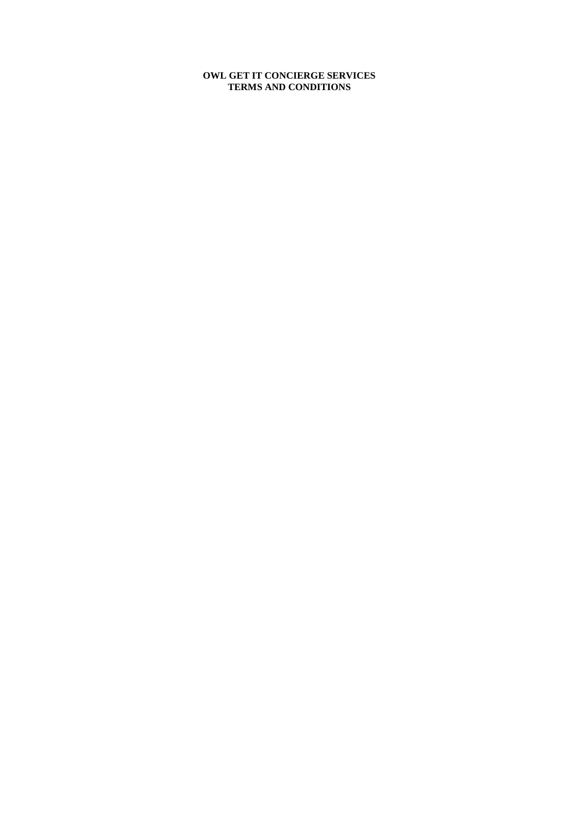#### **OWL GET IT CONCIERGE SERVICES TERMS AND CONDITIONS**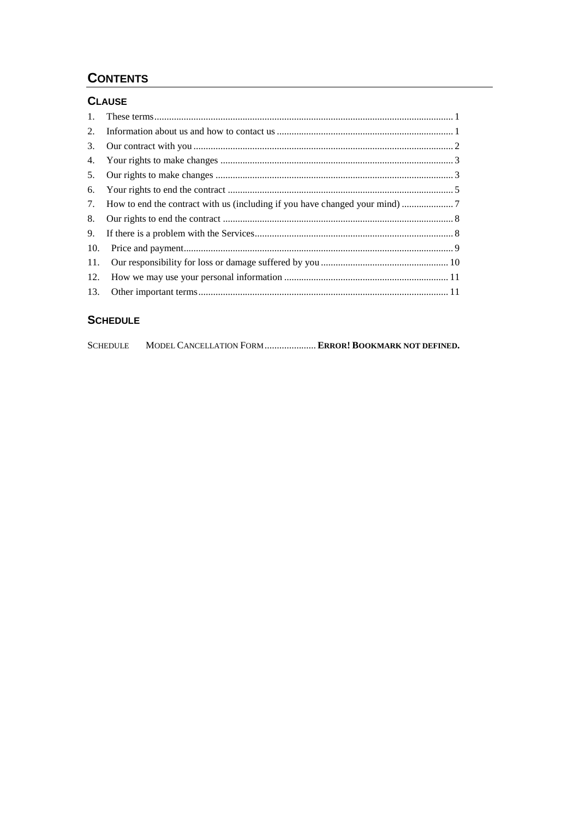# **CONTENTS**

### **CLAUSE**

| $1_{\cdot}$ |  |
|-------------|--|
| 2.          |  |
| 3.          |  |
| 4.          |  |
| 5.          |  |
| 6.          |  |
| 7.          |  |
| 8.          |  |
| 9.          |  |
| 10.         |  |
| 11.         |  |
| 12.         |  |
| 13.         |  |
|             |  |

## **SCHEDULE**

| <b>SCHEDULE</b> |  | MODEL CANCELLATION FORM  ERROR! BOOKMARK NOT DEFINED. |
|-----------------|--|-------------------------------------------------------|
|-----------------|--|-------------------------------------------------------|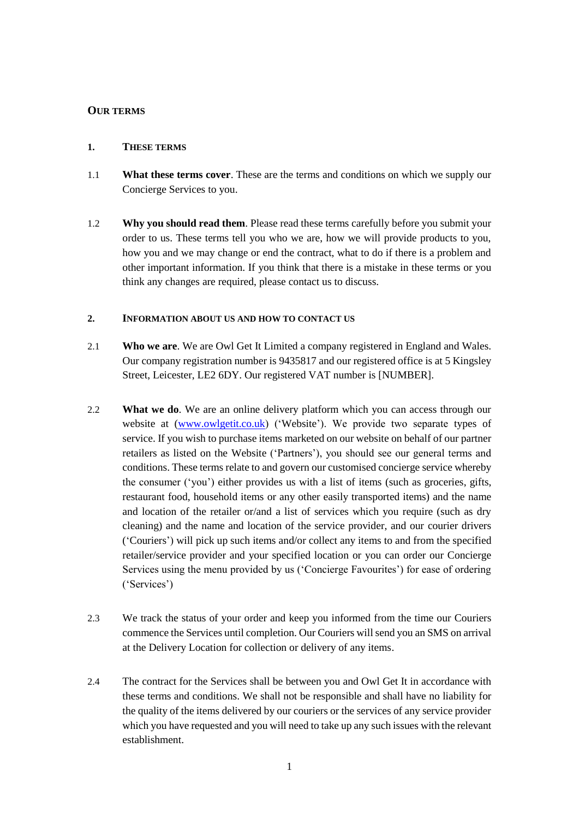#### **OUR TERMS**

#### **1. THESE TERMS**

- 1.1 **What these terms cover**. These are the terms and conditions on which we supply our Concierge Services to you.
- 1.2 **Why you should read them**. Please read these terms carefully before you submit your order to us. These terms tell you who we are, how we will provide products to you, how you and we may change or end the contract, what to do if there is a problem and other important information. If you think that there is a mistake in these terms or you think any changes are required, please contact us to discuss.

#### **2. INFORMATION ABOUT US AND HOW TO CONTACT US**

- 2.1 **Who we are**. We are Owl Get It Limited a company registered in England and Wales. Our company registration number is 9435817 and our registered office is at 5 Kingsley Street, Leicester, LE2 6DY. Our registered VAT number is [NUMBER].
- 2.2 **What we do**. We are an online delivery platform which you can access through our website at [\(www.owlgetit.co.uk\)](http://www.owlgetit.co.uk/) ('Website'). We provide two separate types of service. If you wish to purchase items marketed on our website on behalf of our partner retailers as listed on the Website ('Partners'), you should see our general terms and conditions. These terms relate to and govern our customised concierge service whereby the consumer ('you') either provides us with a list of items (such as groceries, gifts, restaurant food, household items or any other easily transported items) and the name and location of the retailer or/and a list of services which you require (such as dry cleaning) and the name and location of the service provider, and our courier drivers ('Couriers') will pick up such items and/or collect any items to and from the specified retailer/service provider and your specified location or you can order our Concierge Services using the menu provided by us ('Concierge Favourites') for ease of ordering ('Services')
- 2.3 We track the status of your order and keep you informed from the time our Couriers commence the Services until completion. Our Couriers will send you an SMS on arrival at the Delivery Location for collection or delivery of any items.
- 2.4 The contract for the Services shall be between you and Owl Get It in accordance with these terms and conditions. We shall not be responsible and shall have no liability for the quality of the items delivered by our couriers or the services of any service provider which you have requested and you will need to take up any such issues with the relevant establishment.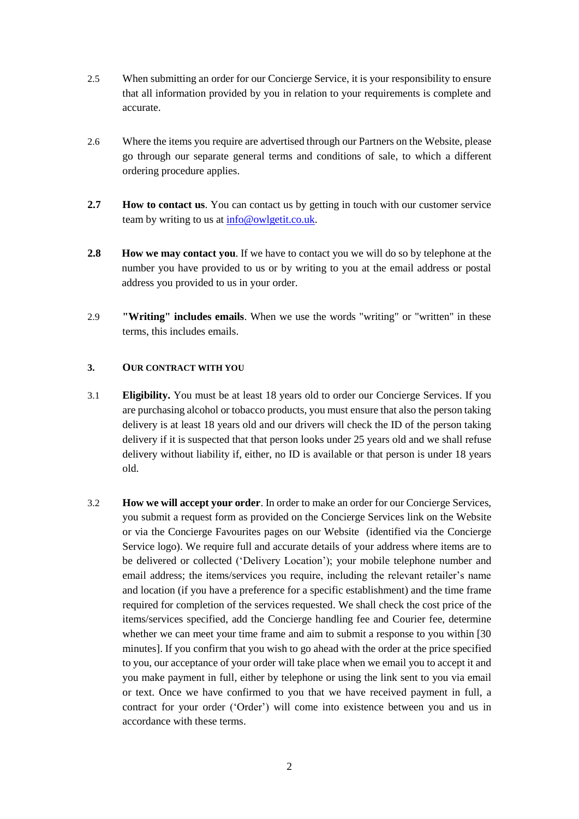- 2.5 When submitting an order for our Concierge Service, it is your responsibility to ensure that all information provided by you in relation to your requirements is complete and accurate.
- 2.6 Where the items you require are advertised through our Partners on the Website, please go through our separate general terms and conditions of sale, to which a different ordering procedure applies.
- **2.7 How to contact us**. You can contact us by getting in touch with our customer service team by writing to us at [info@owlgetit.co.uk.](mailto:info@owlgetit.co.uk)
- **2.8 How we may contact you**. If we have to contact you we will do so by telephone at the number you have provided to us or by writing to you at the email address or postal address you provided to us in your order.
- 2.9 **"Writing" includes emails**. When we use the words "writing" or "written" in these terms, this includes emails.

#### **3. OUR CONTRACT WITH YOU**

- 3.1 **Eligibility.** You must be at least 18 years old to order our Concierge Services. If you are purchasing alcohol or tobacco products, you must ensure that also the person taking delivery is at least 18 years old and our drivers will check the ID of the person taking delivery if it is suspected that that person looks under 25 years old and we shall refuse delivery without liability if, either, no ID is available or that person is under 18 years old.
- 3.2 **How we will accept your order**. In order to make an order for our Concierge Services, you submit a request form as provided on the Concierge Services link on the Website or via the Concierge Favourites pages on our Website (identified via the Concierge Service logo). We require full and accurate details of your address where items are to be delivered or collected ('Delivery Location'); your mobile telephone number and email address; the items/services you require, including the relevant retailer's name and location (if you have a preference for a specific establishment) and the time frame required for completion of the services requested. We shall check the cost price of the items/services specified, add the Concierge handling fee and Courier fee, determine whether we can meet your time frame and aim to submit a response to you within [30 minutes]. If you confirm that you wish to go ahead with the order at the price specified to you, our acceptance of your order will take place when we email you to accept it and you make payment in full, either by telephone or using the link sent to you via email or text. Once we have confirmed to you that we have received payment in full, a contract for your order ('Order') will come into existence between you and us in accordance with these terms.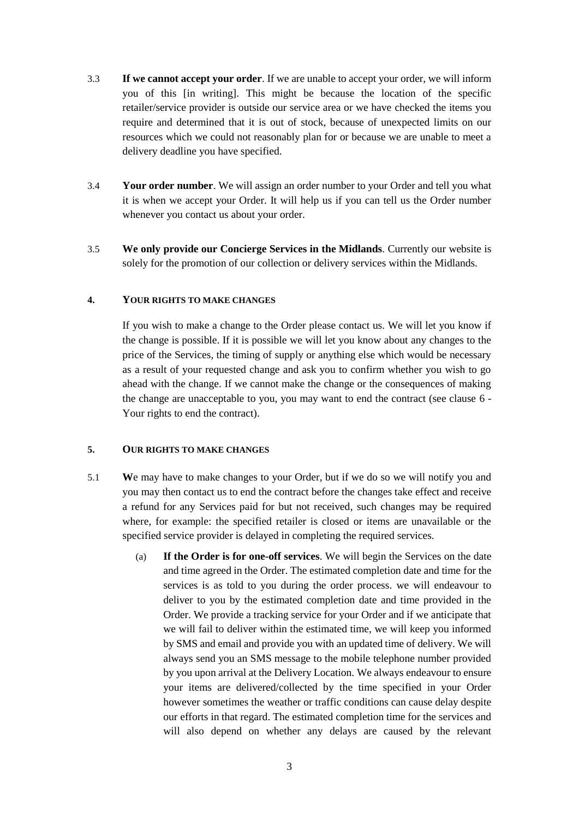- 3.3 **If we cannot accept your order**. If we are unable to accept your order, we will inform you of this [in writing]. This might be because the location of the specific retailer/service provider is outside our service area or we have checked the items you require and determined that it is out of stock, because of unexpected limits on our resources which we could not reasonably plan for or because we are unable to meet a delivery deadline you have specified.
- 3.4 **Your order number**. We will assign an order number to your Order and tell you what it is when we accept your Order. It will help us if you can tell us the Order number whenever you contact us about your order.
- 3.5 **We only provide our Concierge Services in the Midlands**. Currently our website is solely for the promotion of our collection or delivery services within the Midlands.

#### **4. YOUR RIGHTS TO MAKE CHANGES**

If you wish to make a change to the Order please contact us. We will let you know if the change is possible. If it is possible we will let you know about any changes to the price of the Services, the timing of supply or anything else which would be necessary as a result of your requested change and ask you to confirm whether you wish to go ahead with the change. If we cannot make the change or the consequences of making the change are unacceptable to you, you may want to end the contract (see clause 6 - Your rights to end the contract).

#### <span id="page-4-0"></span>**5. OUR RIGHTS TO MAKE CHANGES**

- 5.1 **W**e may have to make changes to your Order, but if we do so we will notify you and you may then contact us to end the contract before the changes take effect and receive a refund for any Services paid for but not received, such changes may be required where, for example: the specified retailer is closed or items are unavailable or the specified service provider is delayed in completing the required services.
	- (a) **If the Order is for one-off services**. We will begin the Services on the date and time agreed in the Order. The estimated completion date and time for the services is as told to you during the order process. we will endeavour to deliver to you by the estimated completion date and time provided in the Order. We provide a tracking service for your Order and if we anticipate that we will fail to deliver within the estimated time, we will keep you informed by SMS and email and provide you with an updated time of delivery. We will always send you an SMS message to the mobile telephone number provided by you upon arrival at the Delivery Location*.* We always endeavour to ensure your items are delivered/collected by the time specified in your Order however sometimes the weather or traffic conditions can cause delay despite our efforts in that regard. The estimated completion time for the services and will also depend on whether any delays are caused by the relevant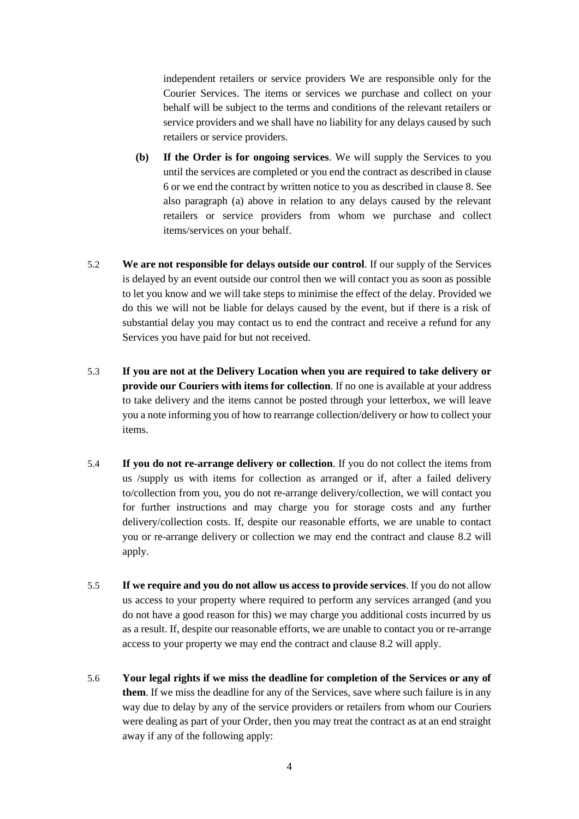independent retailers or service providers We are responsible only for the Courier Services. The items or services we purchase and collect on your behalf will be subject to the terms and conditions of the relevant retailers or service providers and we shall have no liability for any delays caused by such retailers or service providers.

- **(b) If the Order is for ongoing services**. We will supply the Services to you until the services are completed or you end the contract as described in clause 6 or we end the contract by written notice to you as described in clause 8. See also paragraph (a) above in relation to any delays caused by the relevant retailers or service providers from whom we purchase and collect items/services on your behalf.
- 5.2 **We are not responsible for delays outside our control**. If our supply of the Services is delayed by an event outside our control then we will contact you as soon as possible to let you know and we will take steps to minimise the effect of the delay. Provided we do this we will not be liable for delays caused by the event, but if there is a risk of substantial delay you may contact us to end the contract and receive a refund for any Services you have paid for but not received.
- 5.3 **If you are not at the Delivery Location when you are required to take delivery or provide our Couriers with items for collection**. If no one is available at your address to take delivery and the items cannot be posted through your letterbox, we will leave you a note informing you of how to rearrange collection/delivery or how to collect your items.
- 5.4 **If you do not re-arrange delivery or collection**. If you do not collect the items from us /supply us with items for collection as arranged or if, after a failed delivery to/collection from you, you do not re-arrange delivery/collection, we will contact you for further instructions and may charge you for storage costs and any further delivery/collection costs. If, despite our reasonable efforts, we are unable to contact you or re-arrange delivery or collection we may end the contract and clause 8.2 will apply.
- 5.5 **If we require and you do not allow us access to provide services**. If you do not allow us access to your property where required to perform any services arranged (and you do not have a good reason for this) we may charge you additional costs incurred by us as a result. If, despite our reasonable efforts, we are unable to contact you or re-arrange access to your property we may end the contract and clause 8.2 will apply.
- <span id="page-5-0"></span>5.6 **Your legal rights if we miss the deadline for completion of the Services or any of them**. If we miss the deadline for any of the Services, save where such failure is in any way due to delay by any of the service providers or retailers from whom our Couriers were dealing as part of your Order, then you may treat the contract as at an end straight away if any of the following apply: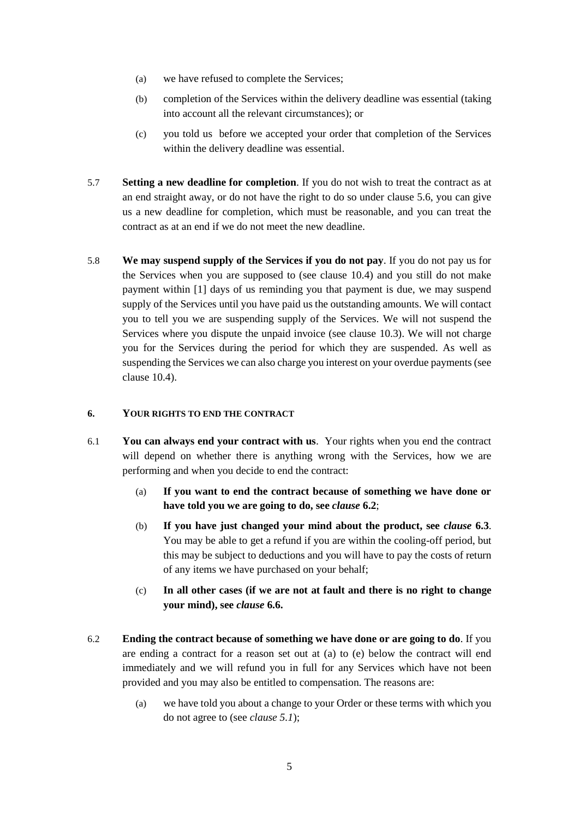- (a) we have refused to complete the Services;
- (b) completion of the Services within the delivery deadline was essential (taking into account all the relevant circumstances); or
- (c) you told us before we accepted your order that completion of the Services within the delivery deadline was essential.
- 5.7 **Setting a new deadline for completion**. If you do not wish to treat the contract as at an end straight away, or do not have the right to do so under clause 5.6, you can give us a new deadline for completion, which must be reasonable, and you can treat the contract as at an end if we do not meet the new deadline.
- 5.8 **We may suspend supply of the Services if you do not pay**. If you do not pay us for the Services when you are supposed to (see clause 10.4) and you still do not make payment within [1] days of us reminding you that payment is due, we may suspend supply of the Services until you have paid us the outstanding amounts. We will contact you to tell you we are suspending supply of the Services. We will not suspend the Services where you dispute the unpaid invoice (see clause 10.3). We will not charge you for the Services during the period for which they are suspended. As well as suspending the Services we can also charge you interest on your overdue payments (see clause 10.4).

#### <span id="page-6-1"></span>**6. YOUR RIGHTS TO END THE CONTRACT**

- 6.1 **You can always end your contract with us**. Your rights when you end the contract will depend on whether there is anything wrong with the Services, how we are performing and when you decide to end the contract:
	- (a) **If you want to end the contract because of something we have done or have told you we are going to do, see** *clause* **[6.2](#page-6-0)**;
	- (b) **If you have just changed your mind about the product, see** *clause* **[6.3](#page-7-0)**. You may be able to get a refund if you are within the cooling-off period, but this may be subject to deductions and you will have to pay the costs of return of any items we have purchased on your behalf;
	- (c) **In all other cases (if we are not at fault and there is no right to change your mind), see** *clause* **[6.6.](#page-7-1)**
- <span id="page-6-0"></span>6.2 **Ending the contract because of something we have done or are going to do**. If you are ending a contract for a reason set out at (a) to (e) below the contract will end immediately and we will refund you in full for any Services which have not been provided and you may also be entitled to compensation. The reasons are:
	- (a) we have told you about a change to your Order or these terms with which you do not agree to (see *claus[e 5.1](#page-4-0)*);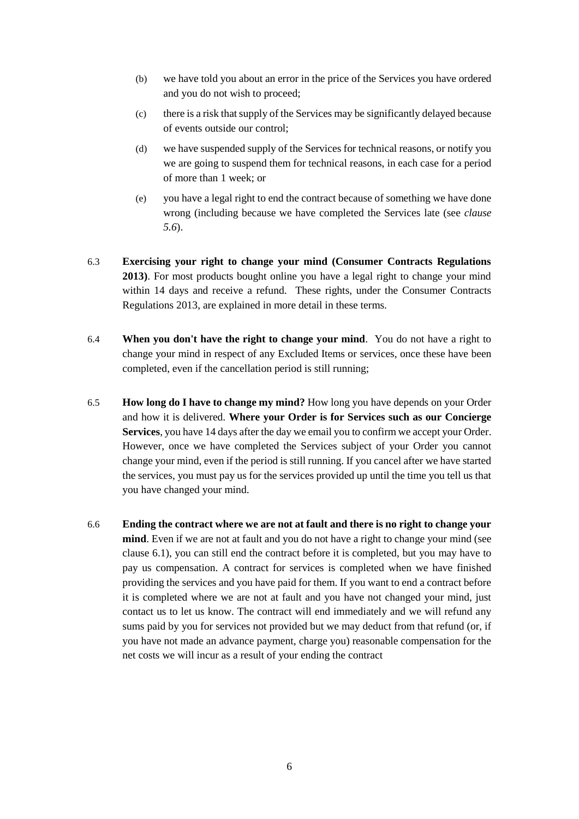- (b) we have told you about an error in the price of the Services you have ordered and you do not wish to proceed;
- (c) there is a risk that supply of the Services may be significantly delayed because of events outside our control;
- (d) we have suspended supply of the Services for technical reasons, or notify you we are going to suspend them for technical reasons, in each case for a period of more than 1 week; or
- (e) you have a legal right to end the contract because of something we have done wrong (including because we have completed the Services late (see *clause [5.6](#page-5-0)*).
- <span id="page-7-0"></span>6.3 **Exercising your right to change your mind (Consumer Contracts Regulations 2013)**. For most products bought online you have a legal right to change your mind within 14 days and receive a refund. These rights, under the Consumer Contracts Regulations 2013, are explained in more detail in these terms.
- 6.4 **When you don't have the right to change your mind**. You do not have a right to change your mind in respect of any Excluded Items or services, once these have been completed, even if the cancellation period is still running;
- 6.5 **How long do I have to change my mind?** How long you have depends on your Order and how it is delivered. **Where your Order is for Services such as our Concierge Services**, you have 14 days after the day we email you to confirm we accept your Order. However, once we have completed the Services subject of your Order you cannot change your mind, even if the period is still running. If you cancel after we have started the services, you must pay us for the services provided up until the time you tell us that you have changed your mind.
- <span id="page-7-1"></span>6.6 **Ending the contract where we are not at fault and there is no right to change your mind**. Even if we are not at fault and you do not have a right to change your mind (see clause [6.1\)](#page-6-1), you can still end the contract before it is completed, but you may have to pay us compensation. A contract for services is completed when we have finished providing the services and you have paid for them. If you want to end a contract before it is completed where we are not at fault and you have not changed your mind, just contact us to let us know. The contract will end immediately and we will refund any sums paid by you for services not provided but we may deduct from that refund (or, if you have not made an advance payment, charge you) reasonable compensation for the net costs we will incur as a result of your ending the contract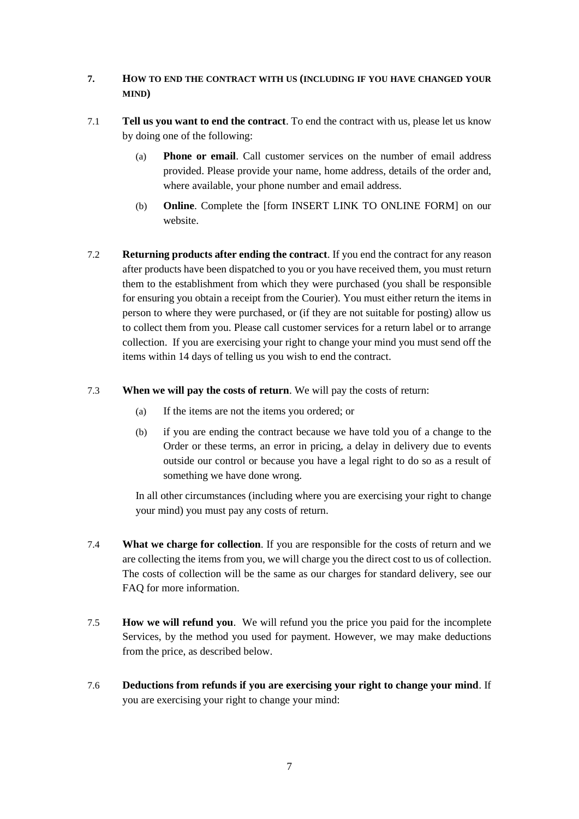### **7. HOW TO END THE CONTRACT WITH US (INCLUDING IF YOU HAVE CHANGED YOUR MIND)**

- 7.1 **Tell us you want to end the contract**. To end the contract with us, please let us know by doing one of the following:
	- (a) **Phone or email**. Call customer services on the number of email address provided. Please provide your name, home address, details of the order and, where available, your phone number and email address.
	- (b) **Online**. Complete the [form INSERT LINK TO ONLINE FORM] on our website.
- 7.2 **Returning products after ending the contract**. If you end the contract for any reason after products have been dispatched to you or you have received them, you must return them to the establishment from which they were purchased (you shall be responsible for ensuring you obtain a receipt from the Courier). You must either return the items in person to where they were purchased, or (if they are not suitable for posting) allow us to collect them from you. Please call customer services for a return label or to arrange collection. If you are exercising your right to change your mind you must send off the items within 14 days of telling us you wish to end the contract.
- 7.3 **When we will pay the costs of return**. We will pay the costs of return:
	- (a) If the items are not the items you ordered; or
	- (b) if you are ending the contract because we have told you of a change to the Order or these terms, an error in pricing, a delay in delivery due to events outside our control or because you have a legal right to do so as a result of something we have done wrong.

In all other circumstances (including where you are exercising your right to change your mind) you must pay any costs of return.

- 7.4 **What we charge for collection**. If you are responsible for the costs of return and we are collecting the items from you, we will charge you the direct cost to us of collection. The costs of collection will be the same as our charges for standard delivery, see our FAQ for more information.
- 7.5 **How we will refund you**. We will refund you the price you paid for the incomplete Services, by the method you used for payment. However, we may make deductions from the price, as described below.
- 7.6 **Deductions from refunds if you are exercising your right to change your mind**. If you are exercising your right to change your mind: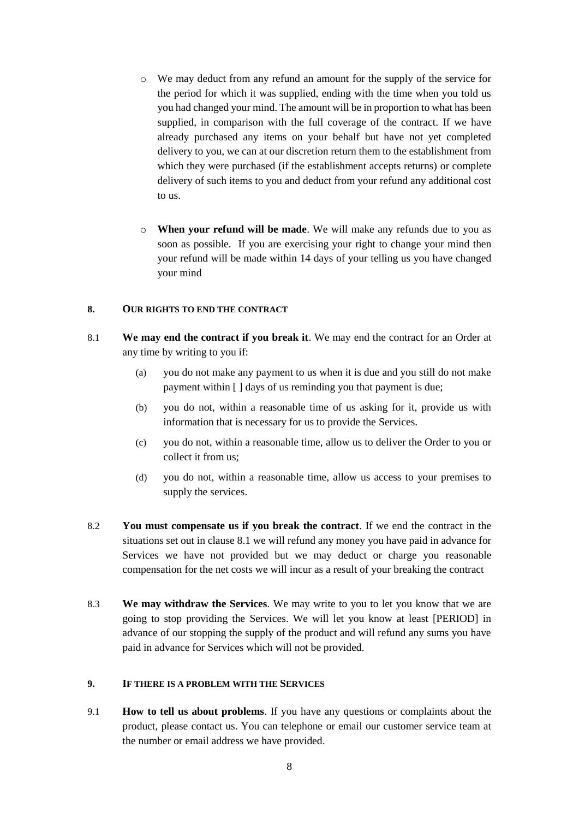- o We may deduct from any refund an amount for the supply of the service for the period for which it was supplied, ending with the time when you told us you had changed your mind. The amount will be in proportion to what has been supplied, in comparison with the full coverage of the contract. If we have already purchased any items on your behalf but have not yet completed delivery to you, we can at our discretion return them to the establishment from which they were purchased (if the establishment accepts returns) or complete delivery of such items to you and deduct from your refund any additional cost to us.
- o **When your refund will be made**. We will make any refunds due to you as soon as possible. If you are exercising your right to change your mind then your refund will be made within 14 days of your telling us you have changed your mind

#### **8. OUR RIGHTS TO END THE CONTRACT**

- 8.1 **We may end the contract if you break it**. We may end the contract for an Order at any time by writing to you if:
	- (a) you do not make any payment to us when it is due and you still do not make payment within [ ] days of us reminding you that payment is due;
	- (b) you do not, within a reasonable time of us asking for it, provide us with information that is necessary for us to provide the Services.
	- (c) you do not, within a reasonable time, allow us to deliver the Order to you or collect it from us;
	- (d) you do not, within a reasonable time, allow us access to your premises to supply the services.
- 8.2 **You must compensate us if you break the contract**. If we end the contract in the situations set out in clause 8.1 we will refund any money you have paid in advance for Services we have not provided but we may deduct or charge you reasonable compensation for the net costs we will incur as a result of your breaking the contract
- 8.3 **We may withdraw the Services**. We may write to you to let you know that we are going to stop providing the Services. We will let you know at least [PERIOD] in advance of our stopping the supply of the product and will refund any sums you have paid in advance for Services which will not be provided.

#### **9. IF THERE IS A PROBLEM WITH THE SERVICES**

9.1 **How to tell us about problems**. If you have any questions or complaints about the product, please contact us. You can telephone or email our customer service team at the number or email address we have provided.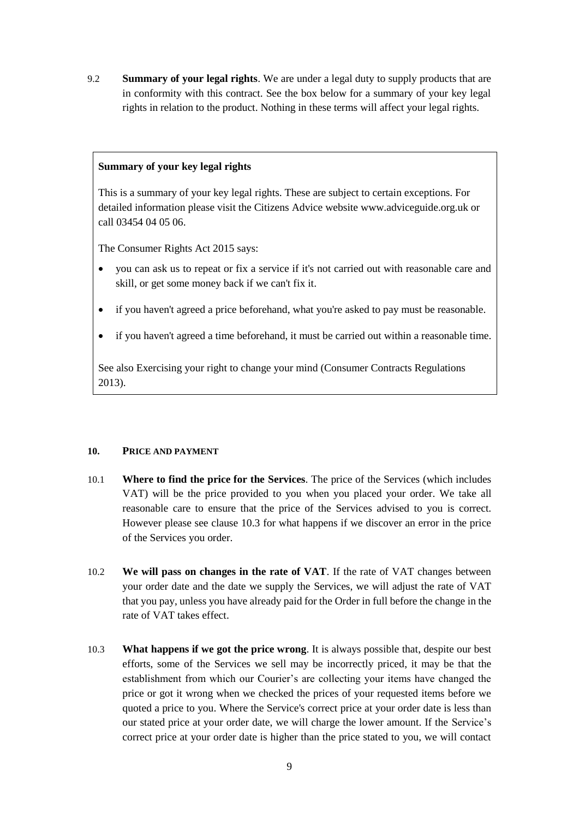9.2 **Summary of your legal rights**. We are under a legal duty to supply products that are in conformity with this contract. See the box below for a summary of your key legal rights in relation to the product. Nothing in these terms will affect your legal rights.

#### **Summary of your key legal rights**

This is a summary of your key legal rights. These are subject to certain exceptions. For detailed information please visit the Citizens Advice website www.adviceguide.org.uk or call 03454 04 05 06.

The Consumer Rights Act 2015 says:

- you can ask us to repeat or fix a service if it's not carried out with reasonable care and skill, or get some money back if we can't fix it.
- if you haven't agreed a price beforehand, what you're asked to pay must be reasonable.
- if you haven't agreed a time beforehand, it must be carried out within a reasonable time.

See also Exercising your right to change your mind (Consumer Contracts Regulations 2013).

#### **10. PRICE AND PAYMENT**

- 10.1 **Where to find the price for the Services**. The price of the Services (which includes VAT) will be the price provided to you when you placed your order. We take all reasonable care to ensure that the price of the Services advised to you is correct. However please see clause [10.3](#page-10-0) for what happens if we discover an error in the price of the Services you order.
- 10.2 **We will pass on changes in the rate of VAT**. If the rate of VAT changes between your order date and the date we supply the Services, we will adjust the rate of VAT that you pay, unless you have already paid for the Order in full before the change in the rate of VAT takes effect.
- <span id="page-10-0"></span>10.3 **What happens if we got the price wrong**. It is always possible that, despite our best efforts, some of the Services we sell may be incorrectly priced, it may be that the establishment from which our Courier's are collecting your items have changed the price or got it wrong when we checked the prices of your requested items before we quoted a price to you. Where the Service's correct price at your order date is less than our stated price at your order date, we will charge the lower amount. If the Service's correct price at your order date is higher than the price stated to you, we will contact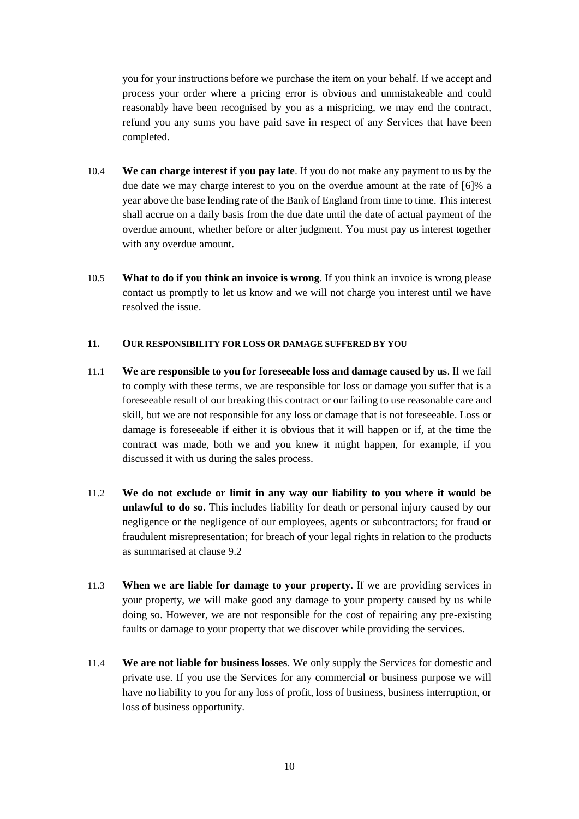you for your instructions before we purchase the item on your behalf. If we accept and process your order where a pricing error is obvious and unmistakeable and could reasonably have been recognised by you as a mispricing, we may end the contract, refund you any sums you have paid save in respect of any Services that have been completed.

- 10.4 **We can charge interest if you pay late**. If you do not make any payment to us by the due date we may charge interest to you on the overdue amount at the rate of [6]% a year above the base lending rate of the Bank of England from time to time. This interest shall accrue on a daily basis from the due date until the date of actual payment of the overdue amount, whether before or after judgment. You must pay us interest together with any overdue amount.
- 10.5 **What to do if you think an invoice is wrong**. If you think an invoice is wrong please contact us promptly to let us know and we will not charge you interest until we have resolved the issue.

#### **11. OUR RESPONSIBILITY FOR LOSS OR DAMAGE SUFFERED BY YOU**

- 11.1 **We are responsible to you for foreseeable loss and damage caused by us**. If we fail to comply with these terms, we are responsible for loss or damage you suffer that is a foreseeable result of our breaking this contract or our failing to use reasonable care and skill, but we are not responsible for any loss or damage that is not foreseeable. Loss or damage is foreseeable if either it is obvious that it will happen or if, at the time the contract was made, both we and you knew it might happen, for example, if you discussed it with us during the sales process.
- 11.2 **We do not exclude or limit in any way our liability to you where it would be unlawful to do so**. This includes liability for death or personal injury caused by our negligence or the negligence of our employees, agents or subcontractors; for fraud or fraudulent misrepresentation; for breach of your legal rights in relation to the products as summarised at clause 9.2
- 11.3 **When we are liable for damage to your property**. If we are providing services in your property, we will make good any damage to your property caused by us while doing so. However, we are not responsible for the cost of repairing any pre-existing faults or damage to your property that we discover while providing the services.
- 11.4 **We are not liable for business losses**. We only supply the Services for domestic and private use. If you use the Services for any commercial or business purpose we will have no liability to you for any loss of profit, loss of business, business interruption, or loss of business opportunity.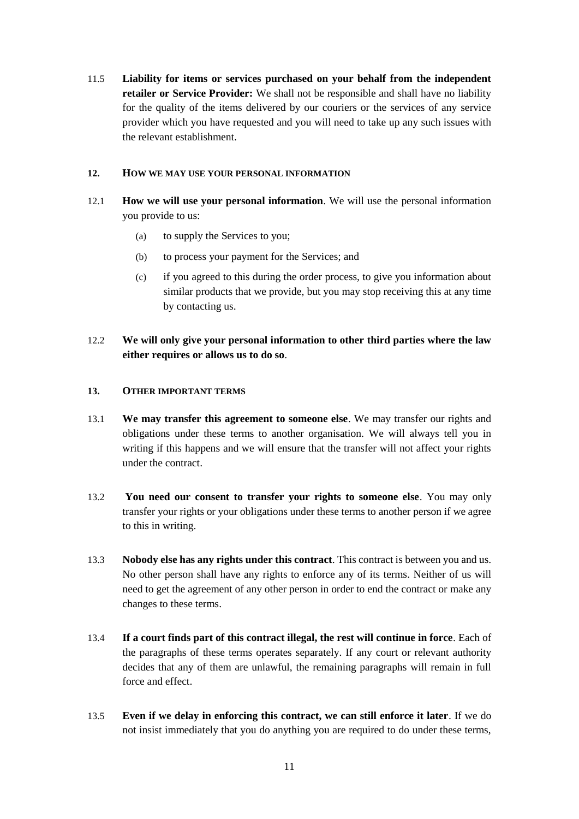11.5 **Liability for items or services purchased on your behalf from the independent retailer or Service Provider:** We shall not be responsible and shall have no liability for the quality of the items delivered by our couriers or the services of any service provider which you have requested and you will need to take up any such issues with the relevant establishment.

#### **12. HOW WE MAY USE YOUR PERSONAL INFORMATION**

- 12.1 **How we will use your personal information**. We will use the personal information you provide to us:
	- (a) to supply the Services to you;
	- (b) to process your payment for the Services; and
	- (c) if you agreed to this during the order process, to give you information about similar products that we provide, but you may stop receiving this at any time by contacting us.
- 12.2 **We will only give your personal information to other third parties where the law either requires or allows us to do so**.

#### **13. OTHER IMPORTANT TERMS**

- 13.1 **We may transfer this agreement to someone else**. We may transfer our rights and obligations under these terms to another organisation. We will always tell you in writing if this happens and we will ensure that the transfer will not affect your rights under the contract.
- 13.2 **You need our consent to transfer your rights to someone else**. You may only transfer your rights or your obligations under these terms to another person if we agree to this in writing.
- 13.3 **Nobody else has any rights under this contract**. This contract is between you and us. No other person shall have any rights to enforce any of its terms. Neither of us will need to get the agreement of any other person in order to end the contract or make any changes to these terms.
- 13.4 **If a court finds part of this contract illegal, the rest will continue in force**. Each of the paragraphs of these terms operates separately. If any court or relevant authority decides that any of them are unlawful, the remaining paragraphs will remain in full force and effect.
- 13.5 **Even if we delay in enforcing this contract, we can still enforce it later**. If we do not insist immediately that you do anything you are required to do under these terms,